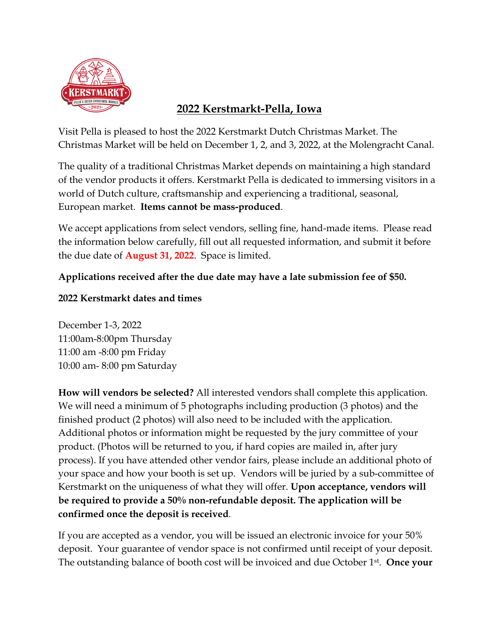

# **2022 Kerstmarkt-Pella, Iowa**

Visit Pella is pleased to host the 2022 Kerstmarkt Dutch Christmas Market. The Christmas Market will be held on December 1, 2, and 3, 2022, at the Molengracht Canal.

The quality of a traditional Christmas Market depends on maintaining a high standard of the vendor products it offers. Kerstmarkt Pella is dedicated to immersing visitors in a world of Dutch culture, craftsmanship and experiencing a traditional, seasonal, European market. **Items cannot be mass-produced**.

We accept applications from select vendors, selling fine, hand-made items. Please read the information below carefully, fill out all requested information, and submit it before the due date of **August 31, 2022**. Space is limited.

# **Applications received after the due date may have a late submission fee of \$50.**

# **2022 Kerstmarkt dates and times**

December 1-3, 2022 11:00am-8:00pm Thursday 11:00 am -8:00 pm Friday 10:00 am- 8:00 pm Saturday

**How will vendors be selected?** All interested vendors shall complete this application. We will need a minimum of 5 photographs including production (3 photos) and the finished product (2 photos) will also need to be included with the application. Additional photos or information might be requested by the jury committee of your product. (Photos will be returned to you, if hard copies are mailed in, after jury process). If you have attended other vendor fairs, please include an additional photo of your space and how your booth is set up. Vendors will be juried by a sub-committee of Kerstmarkt on the uniqueness of what they will offer. **Upon acceptance, vendors will be required to provide a 50% non-refundable deposit. The application will be confirmed once the deposit is received**.

If you are accepted as a vendor, you will be issued an electronic invoice for your 50% deposit. Your guarantee of vendor space is not confirmed until receipt of your deposit. The outstanding balance of booth cost will be invoiced and due October 1st. **Once your**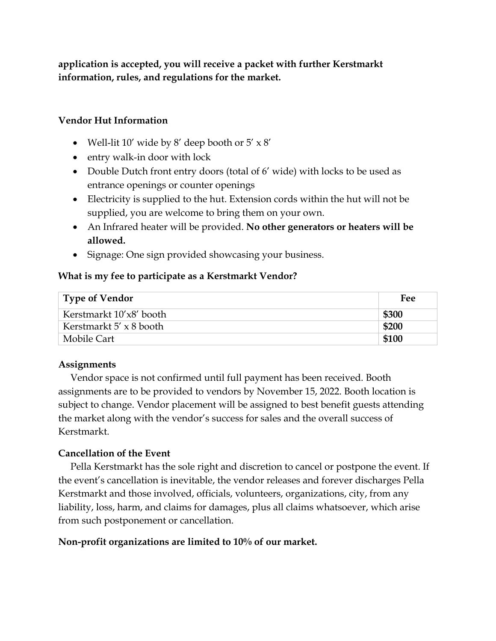**application is accepted, you will receive a packet with further Kerstmarkt information, rules, and regulations for the market.**

## **Vendor Hut Information**

- Well-lit 10' wide by 8' deep booth or  $5' \times 8'$
- entry walk-in door with lock
- Double Dutch front entry doors (total of 6' wide) with locks to be used as entrance openings or counter openings
- Electricity is supplied to the hut. Extension cords within the hut will not be supplied, you are welcome to bring them on your own.
- An Infrared heater will be provided. **No other generators or heaters will be allowed.**
- Signage: One sign provided showcasing your business.

#### **What is my fee to participate as a Kerstmarkt Vendor?**

| Type of Vendor                 | <b>Fee</b> |
|--------------------------------|------------|
| Kerstmarkt 10'x8' booth        | \$300      |
| Kerstmarkt $5' \times 8$ booth | \$200      |
| Mobile Cart                    | \$100      |

## **Assignments**

 Vendor space is not confirmed until full payment has been received. Booth assignments are to be provided to vendors by November 15, 2022. Booth location is subject to change. Vendor placement will be assigned to best benefit guests attending the market along with the vendor's success for sales and the overall success of Kerstmarkt.

## **Cancellation of the Event**

Pella Kerstmarkt has the sole right and discretion to cancel or postpone the event. If the event's cancellation is inevitable, the vendor releases and forever discharges Pella Kerstmarkt and those involved, officials, volunteers, organizations, city, from any liability, loss, harm, and claims for damages, plus all claims whatsoever, which arise from such postponement or cancellation.

## **Non-profit organizations are limited to 10% of our market.**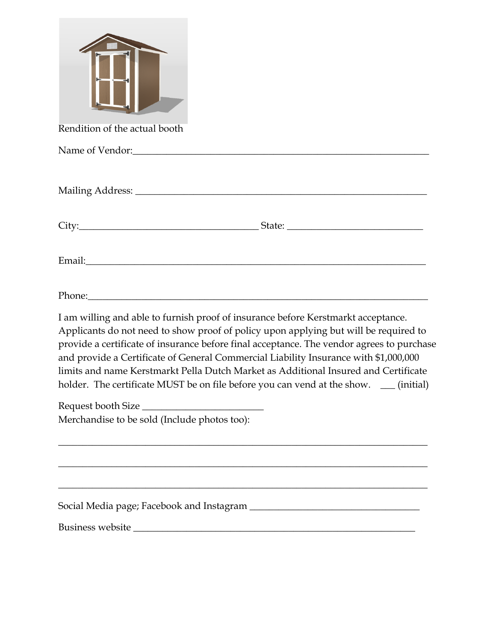| Rendition of the actual booth                                                                                                                                                                                                                                                                                                                                                                                                                                                                                                                  |
|------------------------------------------------------------------------------------------------------------------------------------------------------------------------------------------------------------------------------------------------------------------------------------------------------------------------------------------------------------------------------------------------------------------------------------------------------------------------------------------------------------------------------------------------|
| Name of Vendor: Name of Vendor:                                                                                                                                                                                                                                                                                                                                                                                                                                                                                                                |
|                                                                                                                                                                                                                                                                                                                                                                                                                                                                                                                                                |
|                                                                                                                                                                                                                                                                                                                                                                                                                                                                                                                                                |
|                                                                                                                                                                                                                                                                                                                                                                                                                                                                                                                                                |
| Phone: Phone and Phone and Phone and Phone and Phone and Phone and Phone and Phone and Phone and Phone and Phone and Phone and Phone and Phone and Phone and Phone and Phone and Phone and Phone and Phone and Phone and Phone                                                                                                                                                                                                                                                                                                                 |
| I am willing and able to furnish proof of insurance before Kerstmarkt acceptance.<br>Applicants do not need to show proof of policy upon applying but will be required to<br>provide a certificate of insurance before final acceptance. The vendor agrees to purchase<br>and provide a Certificate of General Commercial Liability Insurance with \$1,000,000<br>limits and name Kerstmarkt Pella Dutch Market as Additional Insured and Certificate<br>holder. The certificate MUST be on file before you can vend at the show. __ (initial) |
| Request booth Size                                                                                                                                                                                                                                                                                                                                                                                                                                                                                                                             |
| Merchandise to be sold (Include photos too):                                                                                                                                                                                                                                                                                                                                                                                                                                                                                                   |
|                                                                                                                                                                                                                                                                                                                                                                                                                                                                                                                                                |
|                                                                                                                                                                                                                                                                                                                                                                                                                                                                                                                                                |
|                                                                                                                                                                                                                                                                                                                                                                                                                                                                                                                                                |